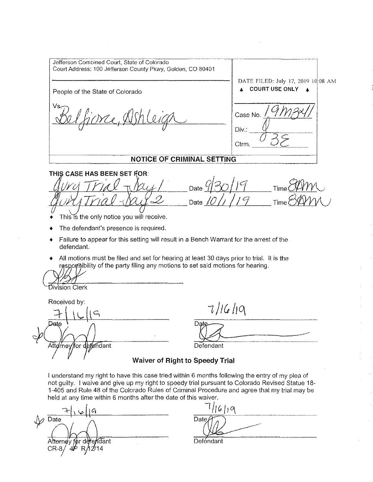Jefferson Combined Court, State of Colorado Court Address: 100 Jefferson County Pkwy, Golden, CO 80401 DATE FILED: July 17, 2019 10:08 AM People of the State of Colorado **... COURT USE ONLY 4**  $\frac{1}{\sqrt{2\pi}}$ Ve iorce, Alst Case No. i Div.: Ctrm. r----------------:--o=::-; ---------------------·-:;;:==-:'::---------- -~ **\_\_\_\_\_\_ \_:\_\_:\_NQ\_!I\_Cf:QF\_C\_R\_IM\_IN\_AL,!)I:\_TII!'J-.::-G \_\_**   $\overline{\phantom{a}}$ THIS CASE HAS BEEN SET FOR:  $-$  GUVY TVIAL  $\sqrt{\frac{\mu_{y}}{\mu}}$  Date  $930/19$ Time~  $-404$ Trial- $\Delta 4$  Date 10/1/19  $Time<sup>8</sup>$ This is the only notice you will receive. The defendant's presence is required. Failure to appear for this setting will result in a Bench Warrant for the arrest of the defendant. + All motions must be filed and set for hearing at least 30 days prior to trial. It is the resporsibility of the party filing any motions to set said motions for hearing. ivision Clerk Received by:  $7/16/19$ Dat<sub>s</sub> Dete Defendant Atto/rney/for fendant **Waiver of Right to Speedy Trial**  I understand my right to have this case tried within 6 months following the entry of my plea of

not guilty. I waive and give up my right to speedy trial pursuant to Colorado Revised Statue 18- 1-405 and Rule 48 of the Colorado Rules of Criminal Procedure and agree that my trial may be held at any time within 6 months after the date of this waiver.

 $\frac{1}{\sqrt{D^2}}$  Date  $\frac{1}{\sqrt{D^2}}$   $\frac{1}{\sqrt{D^2}}$ Ƙdant Atternev

--:t-1 \ \pit Cj ::::--:--'=/=/ &~/ --'-q~--~~~- Defendant